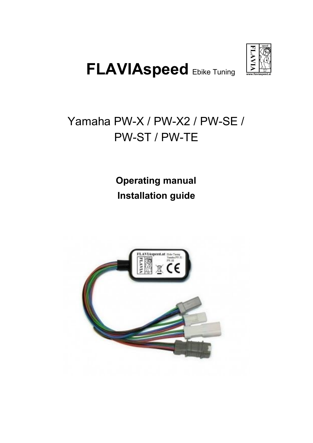

# **FLAVIAspeed** Ebike Tuning

# Yamaha PW-X / PW-X2 / PW-SE / PW-ST / PW-TE

**Operating manual Installation guide**

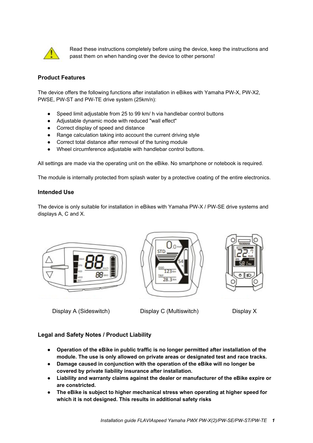

Read these instructions completely before using the device, keep the instructions and passt them on when handing over the device to other persons!

# **Product Features**

The device offers the following functions after installation in eBikes with Yamaha PW-X, PW-X2, PWSE, PW-ST and PW-TE drive system (25km/n):

- Speed limit adjustable from 25 to 99 km/ h via handlebar control buttons
- Adjustable dynamic mode with reduced "wall effect"
- Correct display of speed and distance
- Range calculation taking into account the current driving style
- Correct total distance after removal of the tuning module
- Wheel circumference adjustable with handlebar control buttons.

All settings are made via the operating unit on the eBike. No smartphone or notebook is required.

The module is internally protected from splash water by a protective coating of the entire electronics.

#### **Intended Use**

The device is only suitable for installation in eBikes with Yamaha PW-X / PW-SE drive systems and displays A, C and X.







Display A (Sideswitch) Display C (Multiswitch) Display X

# **Legal and Safety Notes / Product Liability**

- **● Operation of the eBike in public traffic is no longer permitted after installation of the module. The use is only allowed on private areas or designated test and race tracks.**
- **● Damage caused in conjunction with the operation of the eBike will no longer be covered by private liability insurance after installation.**
- **● Liability and warranty claims against the dealer or manufacturer of the eBike expire or are constricted.**
- **● The eBike is subject to higher mechanical stress when operating at higher speed for which it is not designed. This results in additional safety risks**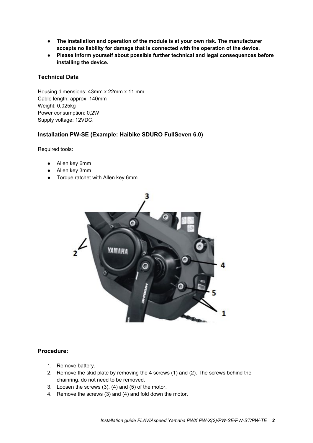- **● The installation and operation of the module is at your own risk. The manufacturer accepts no liability for damage that is connected with the operation of the device.**
- **● Please inform yourself about possible further technical and legal consequences before installing the device.**

# **Technical Data**

Housing dimensions: 43mm x 22mm x 11 mm Cable length: approx. 140mm Weight: 0,025kg Power consumption: 0,2W Supply voltage: 12VDC.

## **Installation PW-SE (Example: Haibike SDURO FullSeven 6.0)**

Required tools:

- Allen key 6mm
- Allen key 3mm
- Torque ratchet with Allen key 6mm.



#### **Procedure:**

- 1. Remove battery.
- 2. Remove the skid plate by removing the 4 screws (1) and (2). The screws behind the chainring. do not need to be removed.
- 3. Loosen the screws (3), (4) and (5) of the motor.
- 4. Remove the screws (3) and (4) and fold down the motor.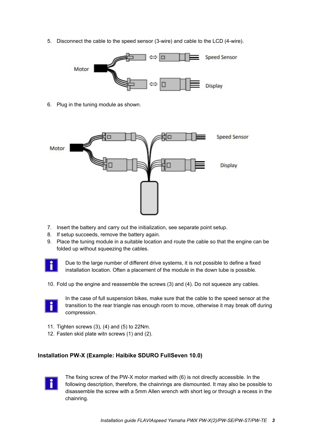5. Disconnect the cable to the speed sensor (3-wire) and cable to the LCD (4-wire).



6. Plug in the tuning module as shown.



- 7. Insert the battery and carry out the initialization, see separate point setup.
- 8. If setup succeeds, remove the battery again.
- 9. Place the tuning module in a suitable location and route the cable so that the engine can be folded up without squeezing the cables.



Due to the large number of different drive systems, it is not possible to define a fixed installation location. Often a placement of the module in the down tube is possible.

10. Fold up the engine and reassemble the screws (3) and (4). Do not squeeze any cables.



In the case of full suspension bikes, make sure that the cable to the speed sensor at the transition to the rear triangle nas enough room to move, otherwise it may break off during compression.

- 11. Tighten screws (3), (4) and (5) to 22Nm.
- 12. Fasten skid plate witn screws (1) and (2).

# **Installation PW-X (Example: Haibike SDURO FullSeven 10.0)**



The fixing screw of the PW-X motor marked with (6) is not directly accessible. In the following description, therefore, the chainrings are dismounted. It may also be possible to disassemble the screw with a 5mm Allen wrench with short leg or through a recess in the chainring.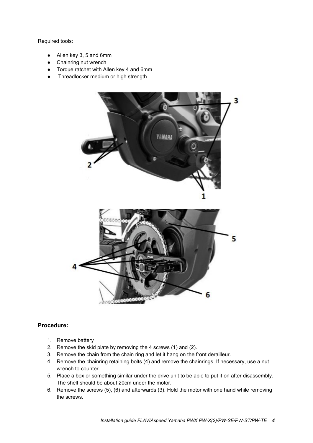#### Required tools:

- Allen key 3, 5 and 6mm
- Chainring nut wrench
- Torque ratchet with Allen key 4 and 6mm
- Threadlocker medium or high strength



# **Procedure:**

- 1. Remove battery
- 2. Remove the skid plate by removing the 4 screws (1) and (2).
- 3. Remove the chain from the chain ring and let it hang on the front derailleur.
- 4. Remove the chainring retaining bolts (4) and remove the chainrings. If necessary, use a nut wrench to counter.
- 5. Place a box or something similar under the drive unit to be able to put it on after disassembly. The shelf should be about 20cm under the motor.
- 6. Remove the screws (5), (6) and afterwards (3). Hold the motor with one hand while removing the screws.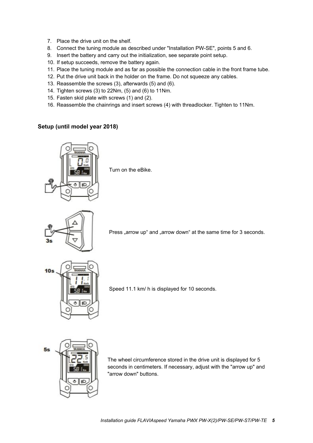- 7. Place the drive unit on the shelf.
- 8. Connect the tuning module as described under "Installation PW-SE", points 5 and 6.
- 9. Insert the battery and carry out the initialization, see separate point setup.
- 10. If setup succeeds, remove the battery again.
- 11. Place the tuning module and as far as possible the connection cable in the front frame tube.
- 12. Put the drive unit back in the holder on the frame. Do not squeeze any cables.
- 13. Reassemble the screws (3), afterwards (5) and (6).
- 14. Tighten screws (3) to 22Nm, (5) and (6) to 11Nm.
- 15. Fasten skid plate with screws (1) and (2).
- 16. Reassemble the chainrings and insert screws (4) with threadlocker. Tighten to 11Nm.

# **Setup (until model year 2018)**



Turn on the eBike.



Press "arrow up" and "arrow down" at the same time for 3 seconds.



Speed 11.1 km/ h is displayed for 10 seconds.



The wheel circumference stored in the drive unit is displayed for 5 seconds in centimeters. If necessary, adjust with the "arrow up" and "arrow down" buttons.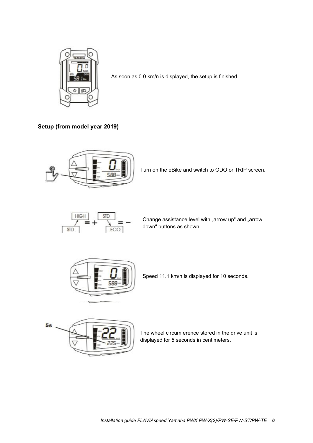

As soon as 0.0 km/n is displayed, the setup is finished.

**Setup (from model year 2019)**



Turn on the eBike and switch to ODO or TRIP screen.



Change assistance level with "arrow up" and "arrow down" buttons as shown.



Speed 11.1 km/n is displayed for 10 seconds.



The wheel circumference stored in the drive unit is displayed for 5 seconds in centimeters.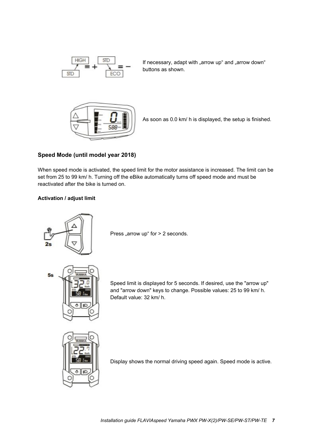

If necessary, adapt with "arrow up" and "arrow down" buttons as shown.



As soon as 0.0 km/ h is displayed, the setup is finished.

# **Speed Mode (until model year 2018)**

When speed mode is activated, the speed limit for the motor assistance is increased. The limit can be set from 25 to 99 km/ h. Turning off the eBike automatically turns off speed mode and must be reactivated after the bike is turned on.

# **Activation / adjust limit**



Press "arrow up" for  $> 2$  seconds.

Speed limit is displayed for 5 seconds. If desired, use the "arrow up" and "arrow down" keys to change. Possible values: 25 to 99 km/ h. Default value: 32 km/ h.



Display shows the normal driving speed again. Speed mode is active.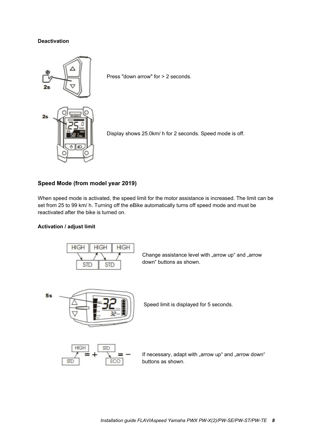#### **Deactivation**



Press "down arrow" for > 2 seconds.

Display shows 25.0km/ h for 2 seconds. Speed mode is off.

#### **Speed Mode (from model year 2019)**

When speed mode is activated, the speed limit for the motor assistance is increased. The limit can be set from 25 to 99 km/ h. Turning off the eBike automatically turns off speed mode and must be reactivated after the bike is turned on.

#### **Activation / adjust limit**



Change assistance level with "arrow up" and "arrow down" buttons as shown.



Speed limit is displayed for 5 seconds.



If necessary, adapt with "arrow up" and "arrow down" buttons as shown.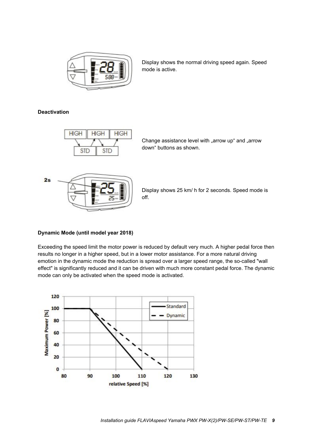

Display shows the normal driving speed again. Speed mode is active.

# **Deactivation**



Change assistance level with "arrow up" and "arrow down" buttons as shown.



Display shows 25 km/ h for 2 seconds. Speed mode is off.

#### **Dynamic Mode (until model year 2018)**

Exceeding the speed limit the motor power is reduced by default very much. A higher pedal force then results no longer in a higher speed, but in a lower motor assistance. For a more natural driving emotion in the dynamic mode the reduction is spread over a larger speed range, the so-called "wall effect" is significantly reduced and it can be driven with much more constant pedal force. The dynamic mode can only be activated when the speed mode is activated.

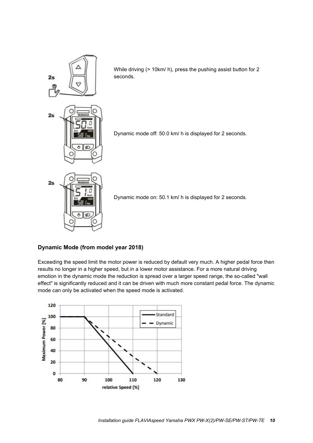

While driving (> 10km/ h), press the pushing assist button for 2 seconds.

Dynamic mode off: 50.0 km/ h is displayed for 2 seconds.



Dynamic mode on: 50.1 km/ h is displayed for 2 seconds.

# **Dynamic Mode (from model year 2018)**

Exceeding the speed limit the motor power is reduced by default very much. A higher pedal force then results no longer in a higher speed, but in a lower motor assistance. For a more natural driving emotion in the dynamic mode the reduction is spread over a larger speed range, the so-called "wall effect" is significantly reduced and it can be driven with much more constant pedal force. The dynamic mode can only be activated when the speed mode is activated.

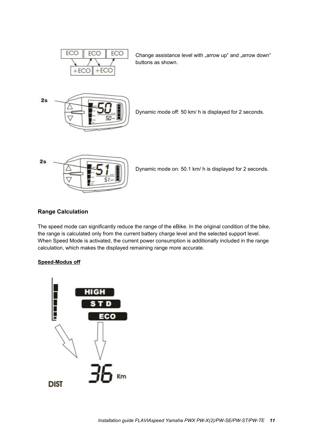

Change assistance level with "arrow up" and "arrow down" buttons as shown.



Dynamic mode off: 50 km/ h is displayed for 2 seconds.



Dynamic mode on: 50.1 km/ h is displayed for 2 seconds.

# **Range Calculation**

The speed mode can significantly reduce the range of the eBike. In the original condition of the bike, the range is calculated only from the current battery charge level and the selected support level. When Speed Mode is activated, the current power consumption is additionally included in the range calculation, which makes the displayed remaining range more accurate.

#### **Speed-Modus off**

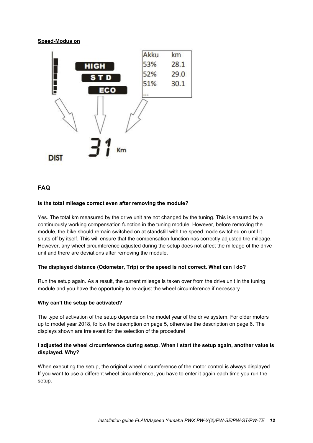**Speed-Modus on**



# **FAQ**

#### **Is the total mileage correct even after removing the module?**

Yes. The total km measured by the drive unit are not changed by the tuning. This is ensured by a continuously working compensation function in the tuning module. However, before removing the module, the bike should remain switched on at standstill with the speed mode switched on until it shuts off by itself. This will ensure that the compensation function nas correctly adjusted tne mileage. However, any wheel circumference adjusted during the setup does not affect the mileage of the drive unit and there are deviations after removing the module.

#### **The displayed distance (Odometer, Trip) or the speed is not correct. What can I do?**

Run the setup again. As a result, the current mileage is taken over from the drive unit in the tuning module and you have the opportunity to re-adjust the wheel circumference if necessary.

#### **Why can't the setup be activated?**

The type of activation of the setup depends on the model year of the drive system. For older motors up to model year 2018, follow the description on page 5, otherwise the description on page 6. The displays shown are irrelevant for the selection of the procedure!

#### **I adjusted the wheel circumference during setup. When I start the setup again, another value is displayed. Why?**

When executing the setup, the original wheel circumference of the motor control is always displayed. If you want to use a different wheel circumference, you have to enter it again each time you run the setup.